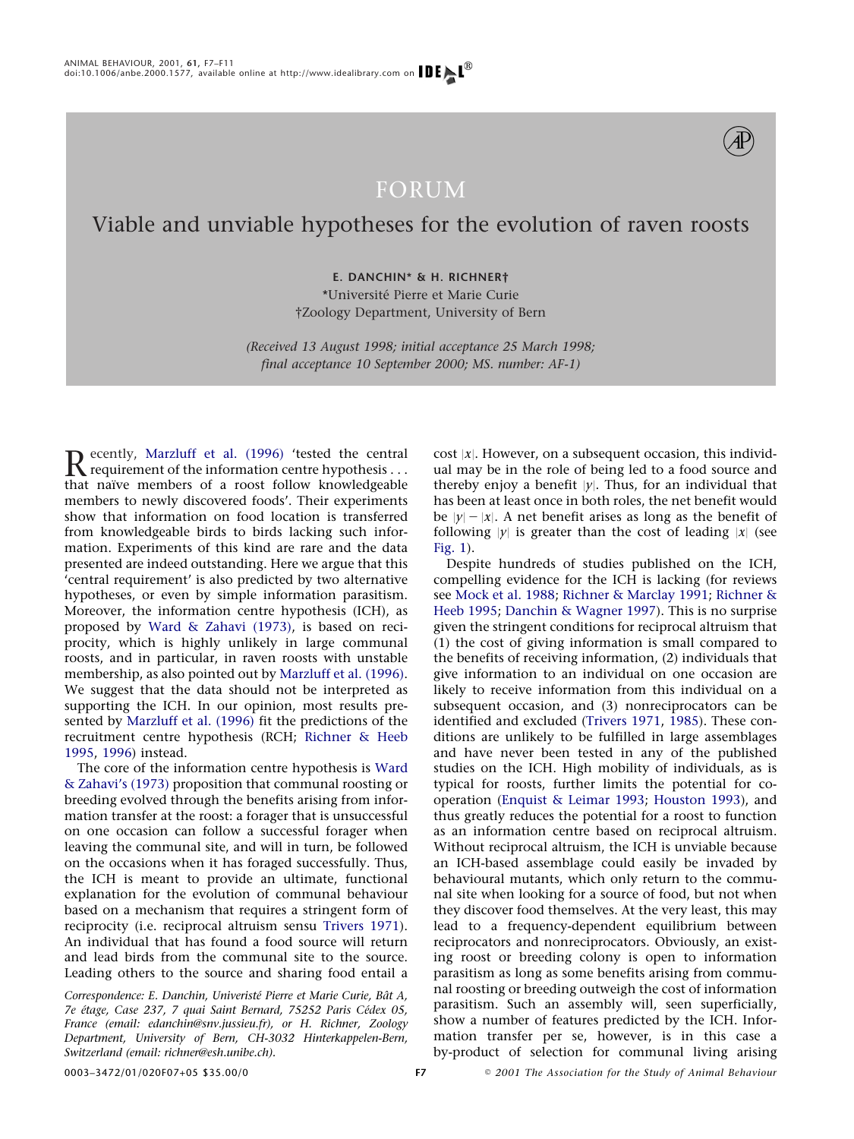

## FORUM

## Viable and unviable hypotheses for the evolution of raven roosts

**E. DANCHIN\* & H. RICHNER†** \*Universite´ Pierre et Marie Curie †Zoology Department, University of Bern

*(Received 13 August 1998; initial acceptance 25 March 1998; final acceptance 10 September 2000; MS. number: AF-1)*

Recently, [Marzluff et al. \(1996\)](#page-4-0) 'tested the central<br>requirement of the information centre hypothesis ...<br>that naïve members of a roost follow knowledgeable that naïve members of a roost follow knowledgeable members to newly discovered foods'. Their experiments show that information on food location is transferred from knowledgeable birds to birds lacking such information. Experiments of this kind are rare and the data presented are indeed outstanding. Here we argue that this 'central requirement' is also predicted by two alternative hypotheses, or even by simple information parasitism. Moreover, the information centre hypothesis (ICH), as proposed by [Ward & Zahavi \(1973\),](#page-4-1) is based on reciprocity, which is highly unlikely in large communal roosts, and in particular, in raven roosts with unstable membership, as also pointed out by [Marzluff et al. \(1996\).](#page-4-0) We suggest that the data should not be interpreted as supporting the ICH. In our opinion, most results presented by [Marzluff et al. \(1996\)](#page-4-0) fit the predictions of the recruitment centre hypothesis (RCH; [Richner & Heeb](#page-4-2) [1995,](#page-4-2) [1996\)](#page-4-3) instead.

The core of the information centre hypothesis is [Ward](#page-4-1) [& Zahavi's \(1973\)](#page-4-1) proposition that communal roosting or breeding evolved through the benefits arising from information transfer at the roost: a forager that is unsuccessful on one occasion can follow a successful forager when leaving the communal site, and will in turn, be followed on the occasions when it has foraged successfully. Thus, the ICH is meant to provide an ultimate, functional explanation for the evolution of communal behaviour based on a mechanism that requires a stringent form of reciprocity (i.e. reciprocal altruism sensu [Trivers 1971\)](#page-4-4). An individual that has found a food source will return and lead birds from the communal site to the source. Leading others to the source and sharing food entail a

*Correspondence: E. Danchin, Univeriste´ Pierre et Marie Curie, Baˆt A, 7e e´tage, Case 237, 7 quai Saint Bernard, 75252 Paris Ce´dex 05, France (email: edanchin@snv.jussieu.fr), or H. Richner, Zoology Department, University of Bern, CH-3032 Hinterkappelen-Bern, Switzerland (email: richner@esh.unibe.ch).*

cost  $|x|$ . However, on a subsequent occasion, this individual may be in the role of being led to a food source and thereby enjoy a benefit  $|y|$ . Thus, for an individual that has been at least once in both roles, the net benefit would be  $|y| - |x|$ . A net benefit arises as long as the benefit of following  $|y|$  is greater than the cost of leading  $|x|$  (see [Fig. 1\)](#page-1-0).

Despite hundreds of studies published on the ICH, compelling evidence for the ICH is lacking (for reviews see [Mock et al. 1988;](#page-4-5) [Richner & Marclay 1991;](#page-4-6) [Richner &](#page-4-2) [Heeb 1995;](#page-4-2) [Danchin & Wagner 1997\)](#page-3-0). This is no surprise given the stringent conditions for reciprocal altruism that (1) the cost of giving information is small compared to the benefits of receiving information, (2) individuals that give information to an individual on one occasion are likely to receive information from this individual on a subsequent occasion, and (3) nonreciprocators can be identified and excluded [\(Trivers 1971,](#page-4-4) [1985\)](#page-4-7). These conditions are unlikely to be fulfilled in large assemblages and have never been tested in any of the published studies on the ICH. High mobility of individuals, as is typical for roosts, further limits the potential for cooperation [\(Enquist & Leimar 1993;](#page-3-1) [Houston 1993\)](#page-4-8), and thus greatly reduces the potential for a roost to function as an information centre based on reciprocal altruism. Without reciprocal altruism, the ICH is unviable because an ICH-based assemblage could easily be invaded by behavioural mutants, which only return to the communal site when looking for a source of food, but not when they discover food themselves. At the very least, this may lead to a frequency-dependent equilibrium between reciprocators and nonreciprocators. Obviously, an existing roost or breeding colony is open to information parasitism as long as some benefits arising from communal roosting or breeding outweigh the cost of information parasitism. Such an assembly will, seen superficially, show a number of features predicted by the ICH. Information transfer per se, however, is in this case a by-product of selection for communal living arising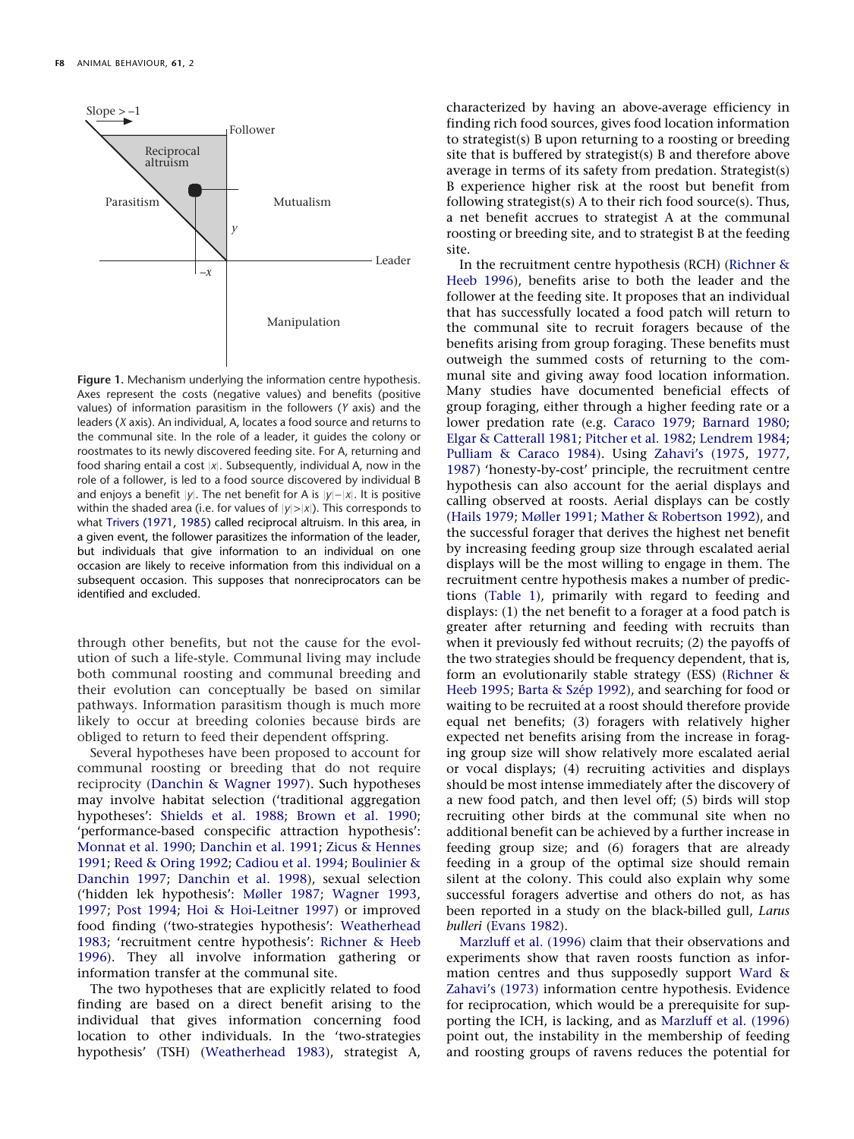<span id="page-1-0"></span>

**Figure 1.** Mechanism underlying the information centre hypothesis. Axes represent the costs (negative values) and benefits (positive values) of information parasitism in the followers (*Y* axis) and the leaders (*X* axis). An individual, A, locates a food source and returns to the communal site. In the role of a leader, it guides the colony or roostmates to its newly discovered feeding site. For A, returning and food sharing entail a cost |x|. Subsequently, individual A, now in the role of a follower, is led to a food source discovered by individual B and enjoys a benefit *y*. The net benefit for A is *y*−*x*. It is positive within the shaded area (i.e. for values of  $|y| > |x|$ ). This corresponds to what [Trivers \(1971](#page-4-4), [1985\)](#page-4-7) called reciprocal altruism. In this area, in a given event, the follower parasitizes the information of the leader, but individuals that give information to an individual on one occasion are likely to receive information from this individual on a subsequent occasion. This supposes that nonreciprocators can be identified and excluded.

through other benefits, but not the cause for the evolution of such a life-style. Communal living may include both communal roosting and communal breeding and their evolution can conceptually be based on similar pathways. Information parasitism though is much more likely to occur at breeding colonies because birds are obliged to return to feed their dependent offspring.

Several hypotheses have been proposed to account for communal roosting or breeding that do not require reciprocity [\(Danchin & Wagner 1997\)](#page-3-0). Such hypotheses may involve habitat selection ('traditional aggregation hypotheses': [Shields et al. 1988;](#page-4-9) [Brown et al. 1990;](#page-3-2) 'performance-based conspecific attraction hypothesis': [Monnat et al. 1990;](#page-4-10) [Danchin et al. 1991;](#page-3-3) [Zicus & Hennes](#page-4-11) [1991;](#page-4-11) [Reed & Oring 1992;](#page-4-12) [Cadiou et al. 1994;](#page-3-4) [Boulinier &](#page-3-5) [Danchin 1997;](#page-3-5) [Danchin et al. 1998\)](#page-3-6), sexual selection ('hidden lek hypothesis': [Møller 1987;](#page-4-13) [Wagner 1993,](#page-4-14) [1997;](#page-4-15) [Post 1994;](#page-4-16) [Hoi & Hoi-Leitner 1997\)](#page-4-17) or improved food finding ('two-strategies hypothesis': [Weatherhead](#page-4-18) [1983;](#page-4-18) 'recruitment centre hypothesis': [Richner & Heeb](#page-4-3) [1996\)](#page-4-3). They all involve information gathering or information transfer at the communal site.

The two hypotheses that are explicitly related to food finding are based on a direct benefit arising to the individual that gives information concerning food location to other individuals. In the 'two-strategies hypothesis' (TSH) [\(Weatherhead 1983\)](#page-4-18), strategist A, characterized by having an above-average efficiency in finding rich food sources, gives food location information to strategist(s) B upon returning to a roosting or breeding site that is buffered by strategist(s) B and therefore above average in terms of its safety from predation. Strategist(s) B experience higher risk at the roost but benefit from following strategist(s) A to their rich food source(s). Thus, a net benefit accrues to strategist A at the communal roosting or breeding site, and to strategist B at the feeding site.

In the recruitment centre hypothesis (RCH) [\(Richner &](#page-4-3) [Heeb 1996\)](#page-4-3), benefits arise to both the leader and the follower at the feeding site. It proposes that an individual that has successfully located a food patch will return to the communal site to recruit foragers because of the benefits arising from group foraging. These benefits must outweigh the summed costs of returning to the communal site and giving away food location information. Many studies have documented beneficial effects of group foraging, either through a higher feeding rate or a lower predation rate (e.g. [Caraco 1979;](#page-3-7) [Barnard 1980;](#page-3-8) [Elgar & Catterall 1981;](#page-3-9) [Pitcher et al. 1982;](#page-4-19) [Lendrem 1984;](#page-4-20) [Pulliam & Caraco 1984\)](#page-4-21). Using [Zahavi's \(1975,](#page-4-22) [1977,](#page-4-23) [1987\)](#page-4-24) 'honesty-by-cost' principle, the recruitment centre hypothesis can also account for the aerial displays and calling observed at roosts. Aerial displays can be costly [\(Hails 1979;](#page-3-10) [Møller 1991;](#page-4-25) [Mather & Robertson 1992\)](#page-4-26), and the successful forager that derives the highest net benefit by increasing feeding group size through escalated aerial displays will be the most willing to engage in them. The recruitment centre hypothesis makes a number of predictions [\(Table 1\)](#page-2-0), primarily with regard to feeding and displays: (1) the net benefit to a forager at a food patch is greater after returning and feeding with recruits than when it previously fed without recruits; (2) the payoffs of the two strategies should be frequency dependent, that is, form an evolutionarily stable strategy (ESS) [\(Richner &](#page-4-2) [Heeb 1995;](#page-4-2) Barta & Szép 1992), and searching for food or waiting to be recruited at a roost should therefore provide equal net benefits; (3) foragers with relatively higher expected net benefits arising from the increase in foraging group size will show relatively more escalated aerial or vocal displays; (4) recruiting activities and displays should be most intense immediately after the discovery of a new food patch, and then level off; (5) birds will stop recruiting other birds at the communal site when no additional benefit can be achieved by a further increase in feeding group size; and (6) foragers that are already feeding in a group of the optimal size should remain silent at the colony. This could also explain why some successful foragers advertise and others do not, as has been reported in a study on the black-billed gull, *Larus bulleri* [\(Evans 1982\)](#page-3-12).

[Marzluff et al. \(1996\)](#page-4-0) claim that their observations and experiments show that raven roosts function as information centres and thus supposedly support [Ward &](#page-4-1) [Zahavi's \(1973\)](#page-4-1) information centre hypothesis. Evidence for reciprocation, which would be a prerequisite for supporting the ICH, is lacking, and as [Marzluff et al. \(1996\)](#page-4-0) point out, the instability in the membership of feeding and roosting groups of ravens reduces the potential for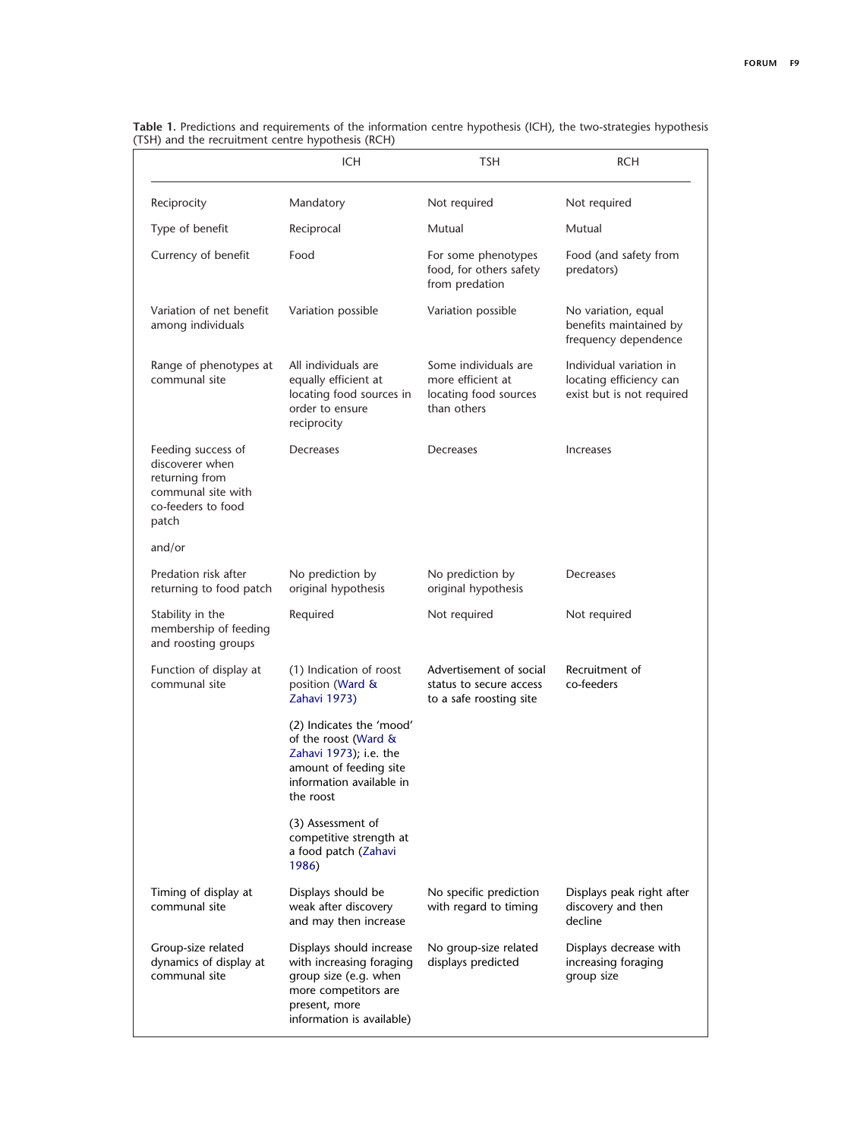|                                                                                                              | <b>ICH</b>                                                                                                                                          | TSH                                                                               | <b>RCH</b>                                                                      |
|--------------------------------------------------------------------------------------------------------------|-----------------------------------------------------------------------------------------------------------------------------------------------------|-----------------------------------------------------------------------------------|---------------------------------------------------------------------------------|
| Reciprocity                                                                                                  | Mandatory                                                                                                                                           | Not required                                                                      | Not required                                                                    |
| Type of benefit                                                                                              | Reciprocal                                                                                                                                          | Mutual                                                                            | Mutual                                                                          |
| Currency of benefit                                                                                          | Food                                                                                                                                                | For some phenotypes<br>food, for others safety<br>from predation                  | Food (and safety from<br>predators)                                             |
| Variation of net benefit<br>among individuals                                                                | Variation possible                                                                                                                                  | Variation possible                                                                | No variation, equal<br>benefits maintained by<br>frequency dependence           |
| Range of phenotypes at<br>communal site                                                                      | All individuals are<br>equally efficient at<br>locating food sources in<br>order to ensure<br>reciprocity                                           | Some individuals are<br>more efficient at<br>locating food sources<br>than others | Individual variation in<br>locating efficiency can<br>exist but is not required |
| Feeding success of<br>discoverer when<br>returning from<br>communal site with<br>co-feeders to food<br>patch | Decreases                                                                                                                                           | Decreases                                                                         | Increases                                                                       |
| and/or                                                                                                       |                                                                                                                                                     |                                                                                   |                                                                                 |
| Predation risk after<br>returning to food patch                                                              | No prediction by<br>original hypothesis                                                                                                             | No prediction by<br>original hypothesis                                           | Decreases                                                                       |
| Stability in the<br>membership of feeding<br>and roosting groups                                             | Required                                                                                                                                            | Not required                                                                      | Not required                                                                    |
| Function of display at<br>communal site                                                                      | (1) Indication of roost<br>position (Ward &<br>Zahavi 1973)                                                                                         | Advertisement of social<br>status to secure access<br>to a safe roosting site     | Recruitment of<br>co-feeders                                                    |
|                                                                                                              | (2) Indicates the 'mood'<br>of the roost (Ward &<br>Zahavi 1973); i.e. the<br>amount of feeding site<br>information available in<br>the roost       |                                                                                   |                                                                                 |
|                                                                                                              | (3) Assessment of<br>competitive strength at<br>a food patch (Zahavi<br>1986)                                                                       |                                                                                   |                                                                                 |
| Timing of display at<br>communal site                                                                        | Displays should be<br>weak after discovery<br>and may then increase                                                                                 | No specific prediction<br>with regard to timing                                   | Displays peak right after<br>discovery and then<br>decline                      |
| Group-size related<br>dynamics of display at<br>communal site                                                | Displays should increase<br>with increasing foraging<br>group size (e.g. when<br>more competitors are<br>present, more<br>information is available) | No group-size related<br>displays predicted                                       | Displays decrease with<br>increasing foraging<br>group size                     |

<span id="page-2-0"></span>**Table 1.** Predictions and requirements of the information centre hypothesis (ICH), the two-strategies hypothesis (TSH) and the recruitment centre hypothesis (RCH)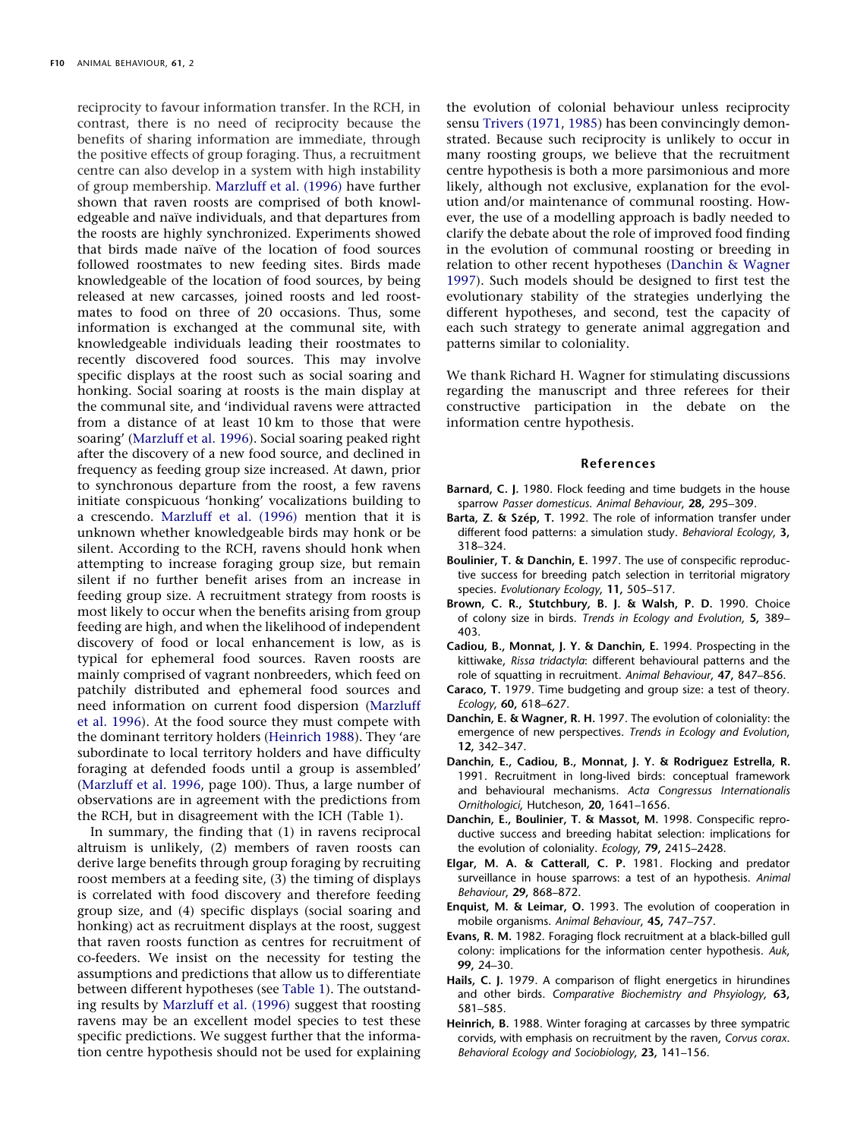reciprocity to favour information transfer. In the RCH, in contrast, there is no need of reciprocity because the benefits of sharing information are immediate, through the positive effects of group foraging. Thus, a recruitment centre can also develop in a system with high instability of group membership. [Marzluff et al. \(1996\)](#page-4-0) have further shown that raven roosts are comprised of both knowledgeable and naïve individuals, and that departures from the roosts are highly synchronized. Experiments showed that birds made naïve of the location of food sources followed roostmates to new feeding sites. Birds made knowledgeable of the location of food sources, by being released at new carcasses, joined roosts and led roostmates to food on three of 20 occasions. Thus, some information is exchanged at the communal site, with knowledgeable individuals leading their roostmates to recently discovered food sources. This may involve specific displays at the roost such as social soaring and honking. Social soaring at roosts is the main display at the communal site, and 'individual ravens were attracted from a distance of at least 10 km to those that were soaring' [\(Marzluff et al. 1996\)](#page-4-0). Social soaring peaked right after the discovery of a new food source, and declined in frequency as feeding group size increased. At dawn, prior to synchronous departure from the roost, a few ravens initiate conspicuous 'honking' vocalizations building to a crescendo. [Marzluff et al. \(1996\)](#page-4-0) mention that it is unknown whether knowledgeable birds may honk or be silent. According to the RCH, ravens should honk when attempting to increase foraging group size, but remain silent if no further benefit arises from an increase in feeding group size. A recruitment strategy from roosts is most likely to occur when the benefits arising from group feeding are high, and when the likelihood of independent discovery of food or local enhancement is low, as is typical for ephemeral food sources. Raven roosts are mainly comprised of vagrant nonbreeders, which feed on patchily distributed and ephemeral food sources and need information on current food dispersion [\(Marzluff](#page-4-0) [et al. 1996\)](#page-4-0). At the food source they must compete with the dominant territory holders [\(Heinrich 1988\)](#page-3-13). They 'are subordinate to local territory holders and have difficulty foraging at defended foods until a group is assembled' [\(Marzluff et al. 1996,](#page-4-0) page 100). Thus, a large number of observations are in agreement with the predictions from the RCH, but in disagreement with the ICH (Table 1).

In summary, the finding that (1) in ravens reciprocal altruism is unlikely, (2) members of raven roosts can derive large benefits through group foraging by recruiting roost members at a feeding site, (3) the timing of displays is correlated with food discovery and therefore feeding group size, and (4) specific displays (social soaring and honking) act as recruitment displays at the roost, suggest that raven roosts function as centres for recruitment of co-feeders. We insist on the necessity for testing the assumptions and predictions that allow us to differentiate between different hypotheses (see [Table 1\)](#page-2-0). The outstanding results by [Marzluff et al. \(1996\)](#page-4-0) suggest that roosting ravens may be an excellent model species to test these specific predictions. We suggest further that the information centre hypothesis should not be used for explaining

the evolution of colonial behaviour unless reciprocity sensu [Trivers \(1971,](#page-4-4) [1985\)](#page-4-7) has been convincingly demonstrated. Because such reciprocity is unlikely to occur in many roosting groups, we believe that the recruitment centre hypothesis is both a more parsimonious and more likely, although not exclusive, explanation for the evolution and/or maintenance of communal roosting. However, the use of a modelling approach is badly needed to clarify the debate about the role of improved food finding in the evolution of communal roosting or breeding in relation to other recent hypotheses [\(Danchin & Wagner](#page-3-0) [1997\)](#page-3-0). Such models should be designed to first test the evolutionary stability of the strategies underlying the different hypotheses, and second, test the capacity of each such strategy to generate animal aggregation and patterns similar to coloniality.

We thank Richard H. Wagner for stimulating discussions regarding the manuscript and three referees for their constructive participation in the debate on the information centre hypothesis.

## **References**

- <span id="page-3-8"></span>**Barnard, C. J.** 1980. Flock feeding and time budgets in the house sparrow *Passer domesticus*. *Animal Behaviour*, **28,** 295–309.
- <span id="page-3-11"></span>Barta, Z. & Szép, T. 1992. The role of information transfer under different food patterns: a simulation study. *Behavioral Ecology*, **3,** 318–324.
- <span id="page-3-5"></span>**Boulinier, T. & Danchin, E.** 1997. The use of conspecific reproductive success for breeding patch selection in territorial migratory species. *Evolutionary Ecology*, **11,** 505–517.
- <span id="page-3-2"></span>**Brown, C. R., Stutchbury, B. J. & Walsh, P. D.** 1990. Choice of colony size in birds. *Trends in Ecology and Evolution*, **5,** 389– 403.
- <span id="page-3-4"></span>**Cadiou, B., Monnat, J. Y. & Danchin, E.** 1994. Prospecting in the kittiwake, *Rissa tridactyla*: different behavioural patterns and the role of squatting in recruitment. *Animal Behaviour*, **47,** 847–856.
- <span id="page-3-7"></span>**Caraco, T.** 1979. Time budgeting and group size: a test of theory. *Ecology*, **60,** 618–627.
- <span id="page-3-0"></span>**Danchin, E. & Wagner, R. H.** 1997. The evolution of coloniality: the emergence of new perspectives. *Trends in Ecology and Evolution*, **12,** 342–347.
- <span id="page-3-3"></span>**Danchin, E., Cadiou, B., Monnat, J. Y. & Rodriguez Estrella, R.** 1991. Recruitment in long-lived birds: conceptual framework and behavioural mechanisms. *Acta Congressus Internationalis Ornithologici*, Hutcheson, **20,** 1641–1656.
- <span id="page-3-6"></span>**Danchin, E., Boulinier, T. & Massot, M.** 1998. Conspecific reproductive success and breeding habitat selection: implications for the evolution of coloniality. *Ecology*, **79,** 2415–2428.
- <span id="page-3-9"></span>**Elgar, M. A. & Catterall, C. P.** 1981. Flocking and predator surveillance in house sparrows: a test of an hypothesis. *Animal Behaviour*, **29,** 868–872.
- <span id="page-3-1"></span>**Enquist, M. & Leimar, O.** 1993. The evolution of cooperation in mobile organisms. *Animal Behaviour*, **45,** 747–757.
- <span id="page-3-12"></span>**Evans, R. M.** 1982. Foraging flock recruitment at a black-billed gull colony: implications for the information center hypothesis. *Auk*, **99,** 24–30.
- <span id="page-3-10"></span>**Hails, C. J.** 1979. A comparison of flight energetics in hirundines and other birds. *Comparative Biochemistry and Phsyiology*, **63,** 581–585.
- <span id="page-3-13"></span>**Heinrich, B.** 1988. Winter foraging at carcasses by three sympatric corvids, with emphasis on recruitment by the raven, *Corvus corax*. *Behavioral Ecology and Sociobiology*, **23,** 141–156.